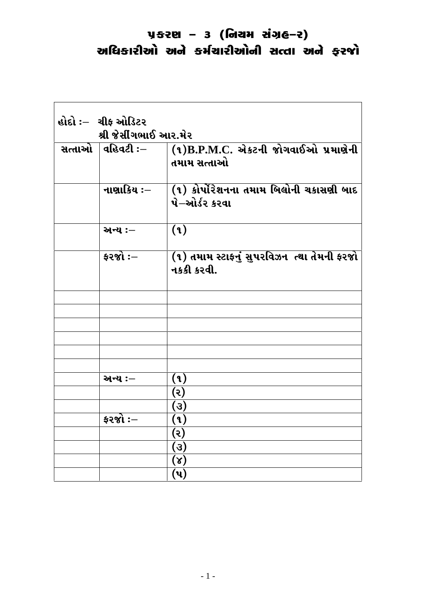| હોદો :–ા ચીફ ઓડિટર<br>શ્રી જેસીંગભાઈ આર.મેર |                                                          |
|---------------------------------------------|----------------------------------------------------------|
| સત્તાઓ ∣વહિવટી ઃ–                           | $(1)$ B.P.M.C. એકટની જોગવાઈઓ પ્રમાણેની<br>તમામ સત્તાઓ    |
| નાણાકિય ઃ–                                  | (૧) કોર્પોરેશનના તમામ બિલોની ચકાસણી બાદ<br>પે–ઓર્ડર કરવા |
| અન્ય :-                                     | (9)                                                      |
| $\frac{1}{2}$ કરજો :—                       | (१) तमाभ स्टाइनुं सुपरविजन त्था तेमनी इरथो<br>નકકી કરવી. |
|                                             |                                                          |
|                                             |                                                          |
|                                             |                                                          |
|                                             |                                                          |
|                                             |                                                          |
| અન્ય :–                                     | (9)                                                      |
|                                             | (ર)                                                      |
|                                             | (3)                                                      |
| ફરજો $:-$                                   | (9)                                                      |
|                                             | (૨)                                                      |
|                                             | $\left( 3\right)$                                        |
|                                             | $(\lambda)$                                              |
|                                             | (પ)                                                      |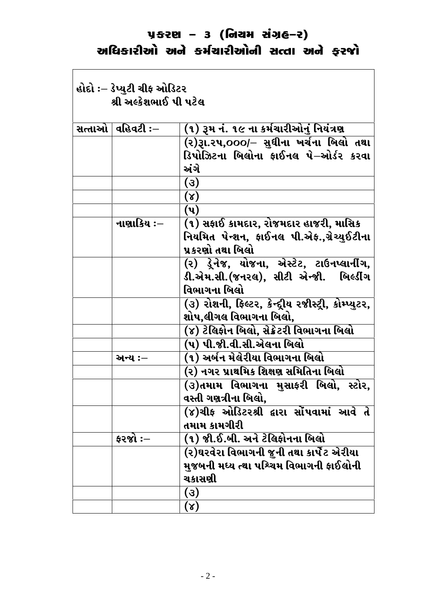| હોદો ઃ– ડેપ્યુટી ચીફ ઓડિટર<br>શ્રી અલ્કેશભાઈ પી પટેલ |                                                                                                                           |
|------------------------------------------------------|---------------------------------------------------------------------------------------------------------------------------|
| સત્તાઓ $  $ વહિવટી ઃ $-$                             | (૧) રૂમ નં. ૧૯ ના કર્મચારીઓનું નિયંત્રણ                                                                                   |
|                                                      | (૨)રૂા.૨૫,૦૦૦/– સુધીના ખર્ચના બિલો તથા<br>ડિપોઝિટના બિલોના ફાઈનલ પે–ઓર્ડર કરવા<br>અંગે                                    |
|                                                      | (3)                                                                                                                       |
|                                                      | $(\lambda)$                                                                                                               |
|                                                      | (પ)                                                                                                                       |
| નાણાકિય ઃ–                                           | (૧) સફાઈ કામદાર, રોજમદાર હાજરી, માસિક<br>નિયમિત પેન્શન, ફાઈનલ પી.એફ.,ગ્રેચ્યુઈટીના<br>પ્રકરણો તથા બિલો                    |
|                                                      | (૨) ડ્રેનેજ, યોજના, એસ્ટેટ, ટાઉનપ્લાનીંગ,<br>ડી.એમ.સી.(જનરલ), સીટી એન્જી.<br>બિલ્ડીંગ<br>વિભાગના બિલો                     |
|                                                      | (૩) રોશની, ફિલ્ટર, કેન્દ્રીય રજીસ્ટ્રી, કોમ્પ્યુટર,<br>શોપ,લીગલ વિભાગના બિલો,<br>(૪) ટેલિફોન બિલો, સેક્રેટરી વિભાગના બિલો |
|                                                      | (૫) પી.જી.વી.સી.એલના બિલો                                                                                                 |
| અન્ય :—                                              | (૧) અર્બન મેલેરીયા વિભાગના બિલો                                                                                           |
|                                                      | (૨) નગર પ્રાથમિક શિક્ષણ સમિતિના બિલો                                                                                      |
|                                                      | .<br>(૩)તમામ વિભાગના મુસાફરી બિલો, સ્ટોર,<br>વસ્તી ગણત્રીના બિલો,                                                         |
|                                                      | (૪)ચીફ ઓડિટરશ્રી દ્વારા સોંપવામાં આવે તે<br>તમામ કામગીરી                                                                  |
| ફરજો :—                                              | (૧) જી.ઈ.બી. અને ટેલિફોનના બિલો                                                                                           |
|                                                      | (૨)ઘરવેરા વિભાગની જુની તથા કાર્પેટ એરીયા<br>મુજબની મધ્ય ત્થા પશ્ચિમ વિભાગની ફાઈલોની<br>ચકાસણી                             |
|                                                      | (3)<br>$(\lambda)$                                                                                                        |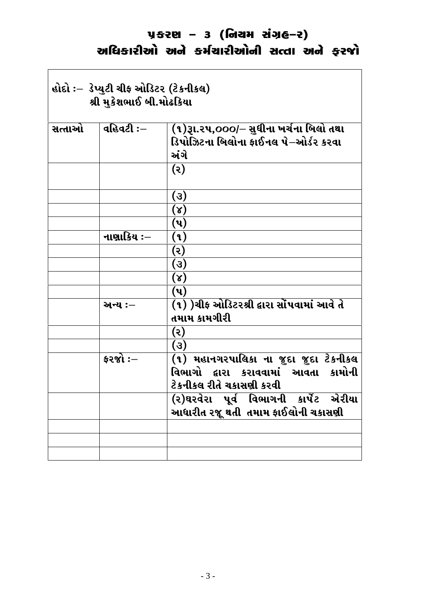$\overline{\phantom{a}}$ 

| હોદો ઃ– ડેપ્યુટી ચીફ ઓડિટર (ટેકનીકલ)<br>શ્રી મુકેશભાઈ બી.મોઢકિયા |                |                                                                                        |
|------------------------------------------------------------------|----------------|----------------------------------------------------------------------------------------|
| સત્તાઓ                                                           | $q$ હિવટી $:-$ | (૧)રૂા.૨૫,૦૦૦/– સુધીના ખર્ચના બિલો તથા<br>ડિપોઝિટના બિલોના ફાઈનલ પે−ઓર્ડર કરવા<br>અંગે |
|                                                                  |                | (5)                                                                                    |
|                                                                  |                | (3)                                                                                    |
|                                                                  |                | $(\lambda)$                                                                            |
|                                                                  |                | (પ)                                                                                    |
|                                                                  | નાણાકિય $:=$   | (૧)                                                                                    |
|                                                                  |                | (૨)                                                                                    |
|                                                                  |                | (3)                                                                                    |
|                                                                  |                | $(\lambda)$                                                                            |
|                                                                  |                | (પ)                                                                                    |
|                                                                  | અન્ય :–        | (૧) )ચીફ ઓડિટરશ્રી દ્વારા સોંપવામાં આવે તે<br>તમામ કામગીરી                             |
|                                                                  |                | (૨)                                                                                    |
|                                                                  |                | (3)                                                                                    |
|                                                                  | ફરજો $:-$      | (૧) મહાનગરપાલિકા ના જુદા જુદા ટેકનીકલ                                                  |
|                                                                  |                | વિભાગો દ્વારા કરાવવામાં આવતા કામોની                                                    |
|                                                                  |                | ટેકનીકલ રીતે ચકાસણી કરવી                                                               |
|                                                                  |                | (૨)ઘરવેરા પૂર્વ વિભાગની કાર્પેટ એરીયા<br>આધારીત રજૂ થતી  તમામ ફાઈલોની ચકાસણી           |
|                                                                  |                |                                                                                        |
|                                                                  |                |                                                                                        |
|                                                                  |                |                                                                                        |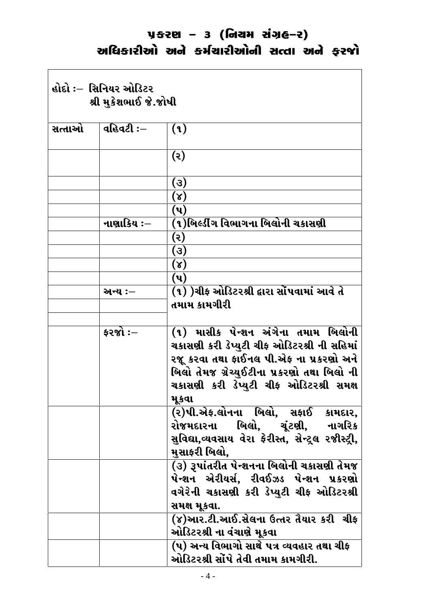$\overline{\phantom{a}}$ 

 $\Gamma$ 

| હોદો ઃ–ાસિનિયર ઓડિટર<br>શ્રી મુકેશભાઈ જે.જોષી |                       |                                                                                                                                                                                                                                  |
|-----------------------------------------------|-----------------------|----------------------------------------------------------------------------------------------------------------------------------------------------------------------------------------------------------------------------------|
| સત્તાઓ                                        | વહિવટી ઃ $-$          | (9)                                                                                                                                                                                                                              |
|                                               |                       | (5)                                                                                                                                                                                                                              |
|                                               |                       | (3)<br>$(\lambda)$                                                                                                                                                                                                               |
|                                               |                       | (પ)                                                                                                                                                                                                                              |
|                                               | નાણાકિય ઃ–            | (૧)બિલ્ડીંગ વિભાગના બિલોની ચકાસણી                                                                                                                                                                                                |
|                                               |                       | (૨)                                                                                                                                                                                                                              |
|                                               |                       | (૩)                                                                                                                                                                                                                              |
|                                               |                       | $(\lambda)$                                                                                                                                                                                                                      |
|                                               |                       | (પ)                                                                                                                                                                                                                              |
|                                               | અન્ય :—               | (૧) )ચીફ ઓડિટરશ્રી દ્વારા સોંપવામાં આવે તે<br>તમામ કામગીરી                                                                                                                                                                       |
|                                               |                       |                                                                                                                                                                                                                                  |
|                                               | $\frac{1}{2}$ કરજો :— | (૧) માસીક પેન્શન અંગેના તમામ બિલોની<br>ચકાસણી કરી ડેપ્યુટી ચીફ ઓડિટરશ્રી ની સહિમાં<br>રજૂ કરવા તથા ફાઈનલ પી.એફ ના પ્રકરણો અને<br>બિલો તેમજ ગ્રેચ્યુઈટીના પ્રકરણો તથા બિલો ની<br>ચકાસણી કરી ડેપ્યુટી ચીફ ઓડિટરશ્રી સમક્ષ<br>મૂકવા |
|                                               |                       | (૨)પી.એફ.લોનના બિલો, સફાઈ કામદાર,<br>રોજમદારના  બિલો, ચૂંટણી, નાગરિક<br>સુવિદ્યા,વ્યવસાય વેરા ફેરીસ્ત, સેન્ટ્રલ રજીસ્ટ્રી,<br>મસાફરી બિલો,                                                                                       |
|                                               |                       | $\overline{\textbf{(3)}}$ રૂપાંતરીત પેન્શનના બિલોની ચકાસણી તેમજ<br>પેન્શન એરીયર્સ, રીવઈઝડ પેન્શન પ્રકરણો<br>વગેરેની ચકાસણી કરી ડેપ્યુટી ચીફ ઓડિટરશ્રી<br>સમક્ષ મૂકવા.                                                            |
|                                               |                       | (૪)આર.ટી.આઈ.સેલના ઉત્તર તૈયાર કરી  ચીફ<br>ઓડિટરશ્રી ના વંચાણે મૂકવા                                                                                                                                                              |
|                                               |                       | (૫) અન્ય વિભાગો સાથે ૫ત્ર વ્યવહાર તથા ચીફ<br>ઓડિટરશ્રી સોંપે તેવી તમામ કામગીરી.                                                                                                                                                  |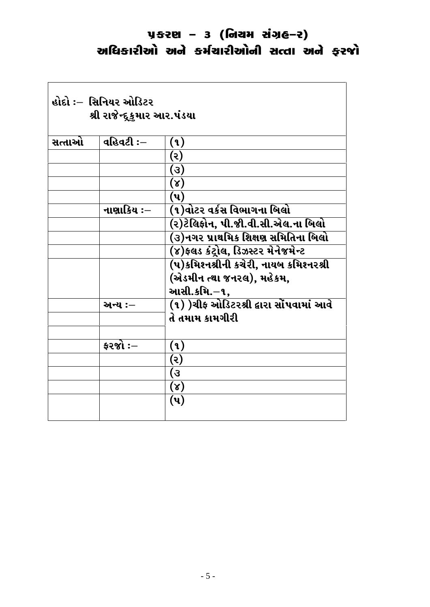| વહિવટી $:$ $-$<br>સત્તાઓ<br>(9)                    |  |
|----------------------------------------------------|--|
|                                                    |  |
| (૨)                                                |  |
| (3)                                                |  |
| $(\lambda)$                                        |  |
| $(\mathbf{u})$                                     |  |
| (૧)વોટર વર્કસ વિભાગના  બિલો<br>નાણાકિય ઃ–          |  |
| (૨)ટેલિફોન, પી.જી.વી.સી.એલ.ના બિલો                 |  |
| <u>(૩)નગર પ્રાથમિક શિક્ષણ સમિતિના બિલો</u>         |  |
| (૪)ફલડ કંટ્રોલ, ડિઝસ્ટર મેનેજમેન્ટ                 |  |
| (૫)કમિશ્નશ્રીની કચેરી, નાયબ કમિશ્નરશ્રી            |  |
| (એડમીન ત્થા જનરલ), મહેકમ,                          |  |
| આસી.કમિ.–૧,                                        |  |
| (૧) )ચીફ ઓડિટરશ્રી દ્વારા સોંપવામાં આવે<br>અન્ય :– |  |
| તે તમામ કામગીરી                                    |  |
| કરજો $:$ –<br>(9)                                  |  |
| (૨)                                                |  |
| $\epsilon)$                                        |  |
| $(\lambda)$                                        |  |
| (પ)                                                |  |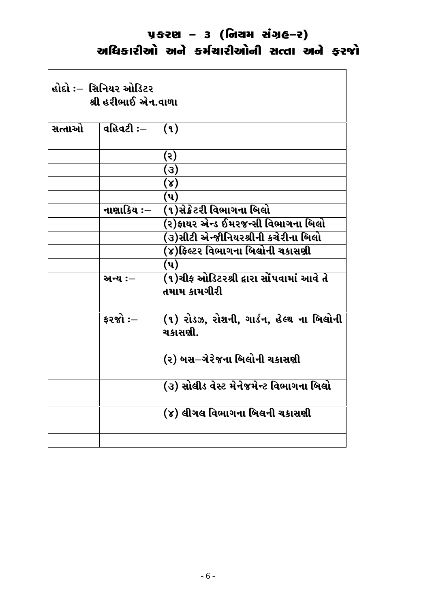| હોદો :–ાસિનિયર ઓડિટર<br>શ્રી હરીભાઈ એન.વાળા |                |                                                          |
|---------------------------------------------|----------------|----------------------------------------------------------|
| સત્તાઓ                                      | વહિવટી $:$ $-$ | (9)                                                      |
|                                             |                | $(\mathcal{S})$                                          |
|                                             |                | (3)                                                      |
|                                             |                | (x)                                                      |
|                                             |                | $(\mathbf{u})$                                           |
|                                             | નાણાકિય :–     | (૧)સેક્રેટરી વિભાગના બિલો                                |
|                                             |                | (૨)ફાયર એન્ડ ઈમરજન્સી વિભાગના બિલો                       |
|                                             |                | (૩)સીટી એન્જીનિયરશ્રીની કચેરીના બિલો                     |
|                                             |                | (૪)ફિલ્ટર વિભાગના બિલોની ચકાસણી                          |
|                                             |                | $(\mathbf{u})$                                           |
|                                             | અન્ય :-        | (૧)ચીફ ઓડિટરશ્રી દ્વારા સોંપવામાં આવે તે<br>તમામ કામગીરી |
|                                             | $52$ જો $:-$   | (૧) રોડઝ, રોશની, ગાર્ડન, હેલ્થ ના બિલોની<br>ચકાસણી.      |
|                                             |                | (૨) બસ–ગેરેજના બિલોની ચકાસણી                             |
|                                             |                | (૩) સોલીડ વેસ્ટ મેનેજમેન્ટ વિભાગના બિલો                  |
|                                             |                | (૪) લીગલ વિભાગના બિલની ચકાસણી                            |
|                                             |                |                                                          |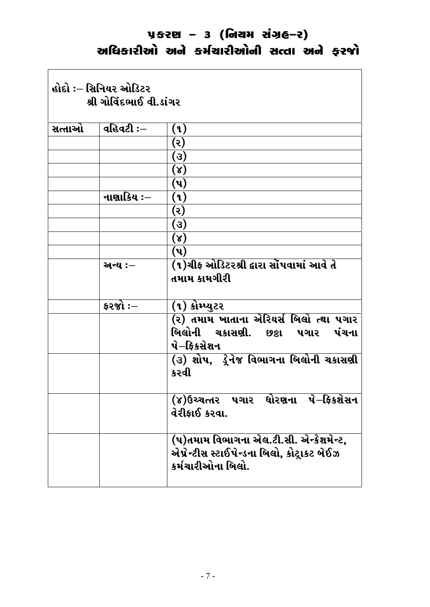|        | હોદો :– સિનિયર ઓડિટર<br>શ્રી ગોવિંદભાઈ વી.ડાંગર |                                                                                                            |
|--------|-------------------------------------------------|------------------------------------------------------------------------------------------------------------|
| સત્તાઓ | ∣ વહિવટી ઃ–                                     | (9)                                                                                                        |
|        |                                                 | (૨)                                                                                                        |
|        |                                                 | $\left( 3\right)$                                                                                          |
|        |                                                 | $(\lambda)$                                                                                                |
|        |                                                 | (પ)                                                                                                        |
|        | નાણાકિય ઃ–                                      | (૧)                                                                                                        |
|        |                                                 | (૨)                                                                                                        |
|        |                                                 | (3)                                                                                                        |
|        |                                                 | $(\lambda)$                                                                                                |
|        |                                                 | $(\mathbf{u})$                                                                                             |
|        | અન્ય :–                                         | (૧)ચીફ ઓડિટરશ્રી દ્વારા સોંપવામાં આવે તે<br>તમામ કામગીરી                                                   |
|        | કરજો $:$ –                                      | (૧) કોમ્પ્યુટર                                                                                             |
|        |                                                 | (૨) તમામ ખાતાના એરિયર્સ બિલો ત્થા પગાર<br>બિલોની ચકાસણી. છઠ્ઠા પગાર પંચના<br>પે–ફિકસેશન                    |
|        |                                                 | (૩) શોપ, ડ્રેનેજ વિભાગના બિલોની ચકાસણી<br>કરવી                                                             |
|        |                                                 | (૪)ઉચ્ચત્તર પગાર ધોરણના પે–ફિકશેસન<br>વેરીફાઈ કરવા.                                                        |
|        |                                                 | (૫)તમામ વિભાગના એલ.ટી.સી. એન્કેશમેન્ટ,<br>એપ્રેન્ટીસ સ્ટાઈપેન્ડના બિલો, કોટ્રાકટ બેઈઝ<br>કર્મચારીઓના બિલો. |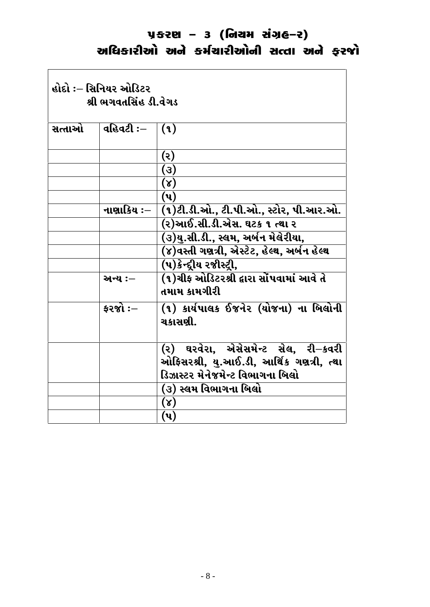| હોદો ઃ– સિનિયર ઓડિટર<br>શ્રી ભગવતસિંહ ડી.વેગડ |            |                                                                                                                    |
|-----------------------------------------------|------------|--------------------------------------------------------------------------------------------------------------------|
| સત્તાઓ                                        | વહિવટી ઃ–  | (9)                                                                                                                |
|                                               |            | (૨)                                                                                                                |
|                                               |            | (3)                                                                                                                |
|                                               |            | $(\lambda)$                                                                                                        |
|                                               |            | $(\mathbf{u})$                                                                                                     |
|                                               | નાણાકિય ઃ– | (૧)ટી.ડી.ઓ., ટી.પી.ઓ., સ્ટોર, પી.આર.ઓ.                                                                             |
|                                               |            | (૨)આઈ.સી.ડી.એસ. ઘટક ૧ ત્થા ૨                                                                                       |
|                                               |            | (૩)યુ.સી.ડી., સ્લમ, અર્બન મેલેરીયા,                                                                                |
|                                               |            | (૪)વસ્તી ગણત્રી, એસ્ટેટ, હેલ્થ, અર્બન હેલ્થ                                                                        |
|                                               |            | (૫)કેન્દ્દીય રજીસ્ટ્રી,                                                                                            |
|                                               | અન્ય :–    | (૧)ચીફ ઓડિટરશ્રી દ્વારા સોંપવામાં આવે તે<br>તમામ કામગીરી                                                           |
|                                               | કરજો $:-$  | (૧) કાર્યપાલક ઈજનેર (યોજના) ના બિલોની<br>ચકાસણી.                                                                   |
|                                               |            | (૨) ઘરવેરા, એસેસમેન્ટ સેલ, રી–કવરી<br>ઓફિસરશ્રી, યુ.આઈ.ડી, આર્થિક ગણત્રી, ત્થા<br>ડિઝાસ્ટર મેનેજમેન્ટ વિભાગના બિલો |
|                                               |            | (૩) સ્લમ વિભાગના  બિલો                                                                                             |
|                                               |            | $(\lambda)$                                                                                                        |
|                                               |            | (પ)                                                                                                                |
|                                               |            |                                                                                                                    |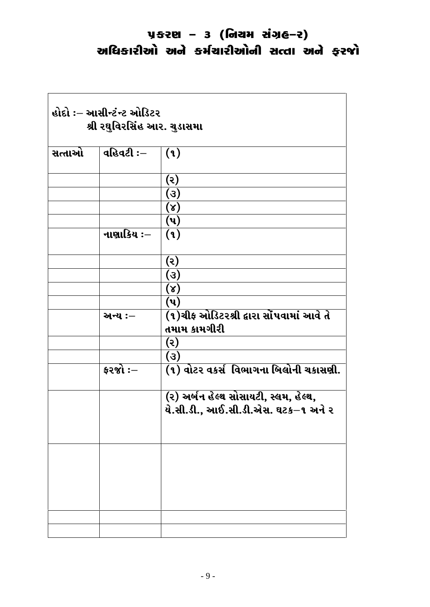<u> 1989 - Johann Stein, marwolaethau a bhann an t-Amhain Aonaichte ann an t-Amhain Aonaichte ann an t-Amhain Ao</u>

| હોદો ઃ– આસીન્ટંન્ટ ઓડિટર<br>શ્રી રઘુવિરસિંહ આર. ચુડાસમા |            |                                                                              |
|---------------------------------------------------------|------------|------------------------------------------------------------------------------|
| સત્તાઓ                                                  | વહિવટી :—  | (9)                                                                          |
|                                                         |            | (૨)<br>(3)                                                                   |
|                                                         |            | $(\lambda)$                                                                  |
|                                                         |            | (પ)                                                                          |
|                                                         | નાણાકિય ઃ– | (9)                                                                          |
|                                                         |            | (૨)                                                                          |
|                                                         |            | (3)                                                                          |
|                                                         |            | $(\lambda)$                                                                  |
|                                                         | અન્ય :–    | $(\mathbf{u})$<br>(૧)ચીફ ઓડિટરશ્રી દ્વારા સોંપવામાં આવે તે<br>તમામ કામગીરી   |
|                                                         |            | (૨)                                                                          |
|                                                         |            | (3)                                                                          |
|                                                         | ફરજો $:$ – | (૧) વોટર વકર્સ વિભાગના બિલોની ચકાસણી.                                        |
|                                                         |            | (૨) અર્બન હેલ્થ સોસાયટી, સ્લમ, હેલ્થ,<br>યે.સી.ડી., આઈ.સી.ડી.એસ. ઘટક–૧ અને ૨ |
|                                                         |            |                                                                              |
|                                                         |            |                                                                              |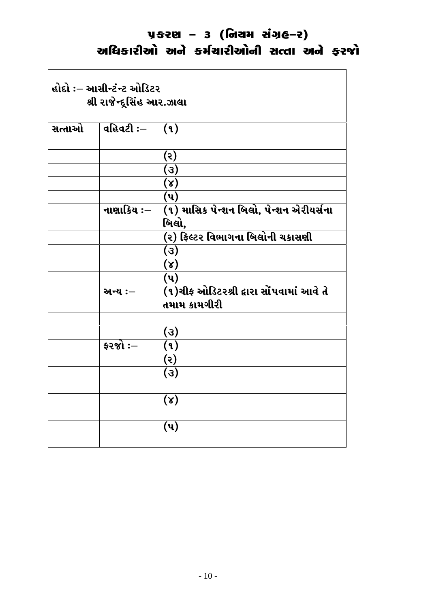| હોદો ઃ– આસીન્ટંન્ટ ઓડિટર<br>શ્રી રાજેન્દુસિંહ આર.ઝાલા |            |                                                          |
|-------------------------------------------------------|------------|----------------------------------------------------------|
| સત્તાઓ                                                | વહિવટી :—  | (9)                                                      |
|                                                       |            | (ર)                                                      |
|                                                       |            | (3)                                                      |
|                                                       |            | (x)                                                      |
|                                                       |            | $(\mathbf{u})$                                           |
|                                                       | નાણાકિય ઃ– | (૧) માસિક પેન્શન બિલો, પેન્શન એરીયર્સના                  |
|                                                       |            | બિલો,                                                    |
|                                                       |            | (૨) ફિલ્ટર વિભાગના બિલોની ચકાસણી                         |
|                                                       |            | (3)                                                      |
|                                                       |            | $(\lambda)$                                              |
|                                                       |            | (પ)                                                      |
|                                                       | અન્ય :-    | (૧)ચીફ ઓડિટરશ્રી દ્વારા સોંપવામાં આવે તે<br>તમામ કામગીરી |
|                                                       |            |                                                          |
|                                                       |            | (3)                                                      |
|                                                       | કરજો :—    | (1)                                                      |
|                                                       |            | (5)                                                      |
|                                                       |            | (3)                                                      |
|                                                       |            | (x)                                                      |
|                                                       |            | $(\mathbf{u})$                                           |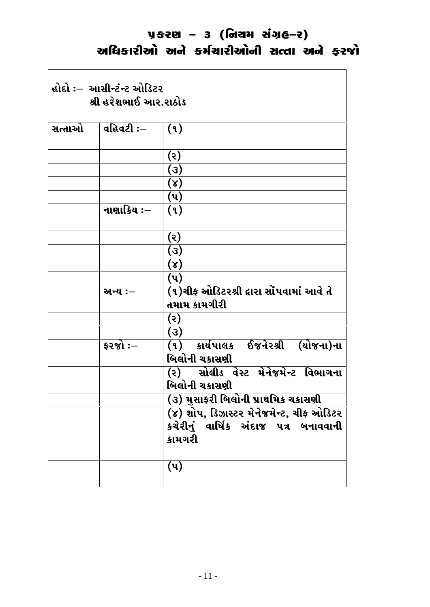$\Gamma$ 

| હોદો ઃ–  આસીન્ટંન્ટ ઓડિટર<br>શ્રી હરેશભાઈ આર.રાઠોડ |            |                                                     |
|----------------------------------------------------|------------|-----------------------------------------------------|
| સત્તાઓ                                             | વહિવટી :–  | (9)                                                 |
|                                                    |            | (૨)                                                 |
|                                                    |            | (3)                                                 |
|                                                    |            | $(\lambda)$                                         |
|                                                    |            | $(\mathbf{u})$                                      |
|                                                    | નાણાકિય ઃ– | (9)                                                 |
|                                                    |            | (૨)                                                 |
|                                                    |            | (3)                                                 |
|                                                    |            | $(\lambda)$                                         |
|                                                    |            | $(\mathbf{u})$                                      |
|                                                    | અન્ય :–    | (૧)ચીફ ઓડિટરશ્રી દ્વારા સોંપવામાં આવે તે            |
|                                                    |            | તમામ કામગીરી                                        |
|                                                    |            | (૨)                                                 |
|                                                    |            | (3)                                                 |
|                                                    | ફરજો :—    | (૧) કાર્યપાલક ઈજનેરશ્રી (યોજના)ના<br>બિલોની ચકાસણી  |
|                                                    |            | (૨) સોલીડ વેસ્ટ મેનેજમેન્ટ વિભાગના<br>બિલોની ચકાસણી |
|                                                    |            | (૩) મુસાફરી બિલોની પ્રાથમિક ચકાસણી                  |
|                                                    |            | (૪) શોપ, ડિઝાસ્ટર મેનેજમેન્ટ, ચીફ ઓડિટર             |
|                                                    |            | કચેરીનું વાર્ષિક અંદાજ પત્ર બનાવવાની<br>કામગરી      |
|                                                    |            | $(\mathbf{u})$                                      |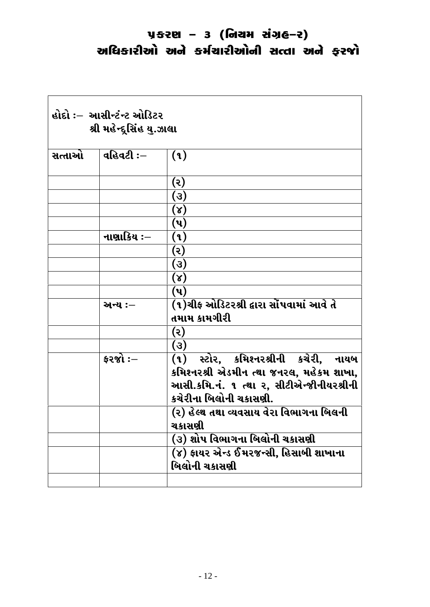| હોદો :–  આસીન્ટંન્ટ ઓડિટર<br>શ્રી મહેન્દુસિંહ યુ.ઝાલા |              |                                                        |
|-------------------------------------------------------|--------------|--------------------------------------------------------|
| સત્તાઓ                                                | વહિવટી ઃ $-$ | (9)                                                    |
|                                                       |              | (૨)                                                    |
|                                                       |              | (3)                                                    |
|                                                       |              | $(\lambda)$                                            |
|                                                       |              | (પ)                                                    |
|                                                       | નાણાકિય ઃ–   | (૧)                                                    |
|                                                       |              | (૨)                                                    |
|                                                       |              | (3)                                                    |
|                                                       |              | $(\lambda)$                                            |
|                                                       |              | (પ)                                                    |
|                                                       | અન્ય :—      | (૧)ચીફ ઓડિટરશ્રી દ્વારા સોંપવામાં આવે તે               |
|                                                       |              | તમામ કામગીરી                                           |
|                                                       |              | (૨)                                                    |
|                                                       |              | (3)                                                    |
|                                                       | $52%$ : $-$  | (૧) સ્ટોર, કમિશ્નરશ્રીની કચેરી, નાયબ                   |
|                                                       |              | કમિશ્નરશ્રી એડમીન ત્થા જનરલ, મહેકમ શાખા,               |
|                                                       |              | આસી.કમિ.નં. ૧ ત્થા ૨, સીટીએન્જીનીયરશ્રીની              |
|                                                       |              | કચેરીના બિલોની ચકાસણી.                                 |
|                                                       |              | (૨) હેલ્થ તથા વ્યવસાય વેરા વિભાગના બિલની<br>ચકાસણી     |
|                                                       |              | (૩) શોપ વિભાગના બિલોની ચકાસણી                          |
|                                                       |              | (૪) ફાયર એન્ડ ઈમરજન્સી, હિસાબી શાખાના<br>બિલોની ચકાસણી |
|                                                       |              |                                                        |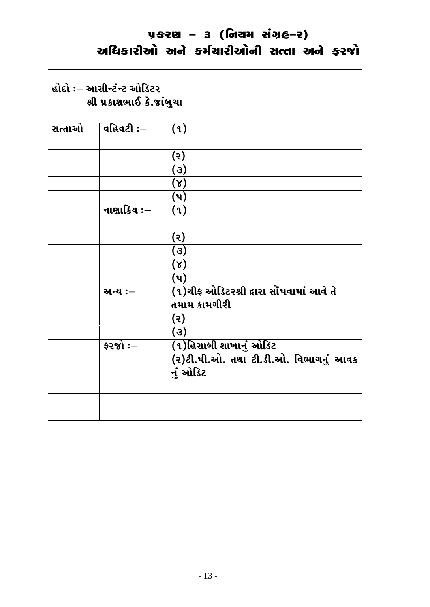$\overline{\phantom{a}}$ 

| હોદો ઃ– આસીન્ટંન્ટ ઓડિટર<br>શ્રી પ્રકાશભાઈ કે.જાંબુચા |              |                                                          |
|-------------------------------------------------------|--------------|----------------------------------------------------------|
| સત્તાઓ                                                | વહિવટી ઃ $-$ | (9)                                                      |
|                                                       |              | (૨)                                                      |
|                                                       |              | (3)                                                      |
|                                                       |              | (x)                                                      |
|                                                       |              | $(\mathbf{u})$                                           |
|                                                       | નાણાકિય ઃ–   | (9)                                                      |
|                                                       |              | (૨)                                                      |
|                                                       |              | (3)                                                      |
|                                                       |              | $(\lambda)$                                              |
|                                                       |              | $(\mathbf{u})$                                           |
|                                                       | અન્ય :-      | (૧)ચીફ ઓડિટરશ્રી દ્વારા સોંપવામાં આવે તે<br>તમામ કામગીરી |
|                                                       |              | (ર)                                                      |
|                                                       |              | (3)                                                      |
|                                                       | ફરજો $:-$    | (૧)હિસાબી શાખાનું ઓડિટ                                   |
|                                                       |              | (ર)ટી.પી.ઓ. તથા ટી.ડી.ઓ. વિભાગનું આવક<br>નું ઓડિટ        |
|                                                       |              |                                                          |
|                                                       |              |                                                          |
|                                                       |              |                                                          |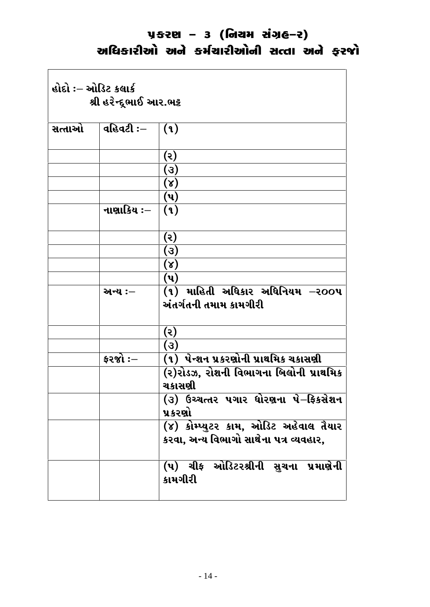| હોદો :– ઓડિટ કલાર્ક<br>શ્રી હરેન્દૂભાઈ આર.ભટ્ટ |            |                                                                                            |
|------------------------------------------------|------------|--------------------------------------------------------------------------------------------|
| સત્તાઓ                                         | વહિવટી :–  | (9)                                                                                        |
|                                                |            |                                                                                            |
|                                                |            | (૨)                                                                                        |
|                                                |            | (3)                                                                                        |
|                                                |            | $(\lambda)$<br>$(\mathbf{u})$                                                              |
|                                                | નાણાકિય ઃ– |                                                                                            |
|                                                |            | (9)                                                                                        |
|                                                |            | (૨)                                                                                        |
|                                                |            | (3)                                                                                        |
|                                                |            | $(\lambda)$                                                                                |
|                                                |            | $(\mathbf{u})$                                                                             |
|                                                | અન્ય :–    | (૧) માહિતી અધિકાર અધિનિયમ $-$ ર $\mathbf{o}\mathbf{o}\mathbf{u}$<br>અંતર્ગતની તમામ કામગીરી |
|                                                |            | (૨)                                                                                        |
|                                                |            | (3)                                                                                        |
|                                                | ફરજો $:$ – | (૧)  પેન્શન પ્રકરણોની પ્રાથમિક ચકાસણી                                                      |
|                                                |            | (૨)રોડઝ, રોશની વિભાગના બિલોની પ્રાથમિક<br>ચકાસણી                                           |
|                                                |            | (૩) ઉચ્ચત્તર પગાર ધોરણના પે–ફિકસેશન<br>પ્રક <b>ર</b> ણો                                    |
|                                                |            | (૪) કોમ્પ્યુટર કામ, ઓડિટ અહેવાલ તૈયાર                                                      |
|                                                |            | કરવા, અન્ય વિભાગો સાથેના પત્ર વ્યવહાર,                                                     |
|                                                |            | (૫) ચીફ ઓડિટરશ્રીની <u>સ</u> ુચના પ્રમાણેની<br>કામગીરી                                     |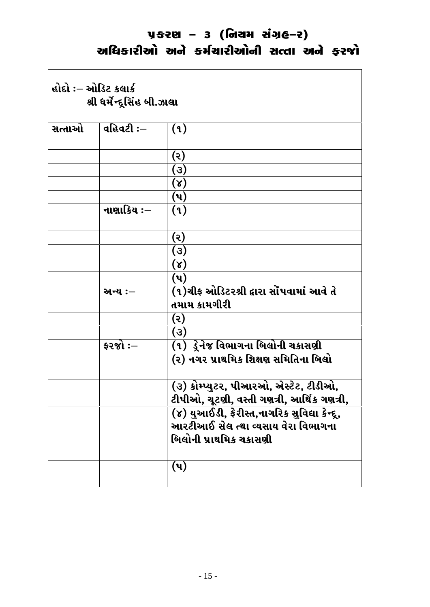| હોદો :– ઓડિટ કલાર્ક<br>શ્રી ધર્મેન્દ્રસિંહ બી.ઝાલા |                       |                                                                                     |
|----------------------------------------------------|-----------------------|-------------------------------------------------------------------------------------|
| સત્તાઓ                                             | વહિવટી ઃ $-$          | (9)                                                                                 |
|                                                    |                       | (૨)                                                                                 |
|                                                    |                       | (3)                                                                                 |
|                                                    |                       | $(\lambda)$                                                                         |
|                                                    |                       | $(\mathbf{u})$                                                                      |
|                                                    | નાણાકિય ઃ–            | (9)                                                                                 |
|                                                    |                       | (૨)                                                                                 |
|                                                    |                       | (3)                                                                                 |
|                                                    |                       | $(\lambda)$                                                                         |
|                                                    |                       | (પ)                                                                                 |
|                                                    | અન્ય :—               | (૧)ચીફ ઓડિટરશ્રી દ્વારા સોંપવામાં આવે તે                                            |
|                                                    |                       | તમામ કામગીરી                                                                        |
|                                                    |                       | (૨)                                                                                 |
|                                                    |                       | (3)                                                                                 |
|                                                    | $\frac{1}{2}$ કરજો :— | (૧) ડ્રેનેજ વિભાગના બિલોની ચકાસણી                                                   |
|                                                    |                       | (૨) નગર પ્રાથમિક શિક્ષણ સમિતિના બિલો                                                |
|                                                    |                       | (૩) કોમ્પ્યુટર, પીઆરઓ, એસ્ટેટ, ટીડીઓ,<br>ટીપીઓ, ચૂટણી, વસ્તી ગણત્રી, આર્થિક ગણત્રી, |
|                                                    |                       | (૪) યુઆઈડી, ફેરીસ્ત,નાગરિક સુવિદ્યા કેન્દૂ,<br>આરટીઆઈ સેલ ત્થા વ્યસાય વેરા વિભાગના  |
|                                                    |                       | બિલોની પ્રાથમિક ચકાસણી                                                              |
|                                                    |                       | (પ)                                                                                 |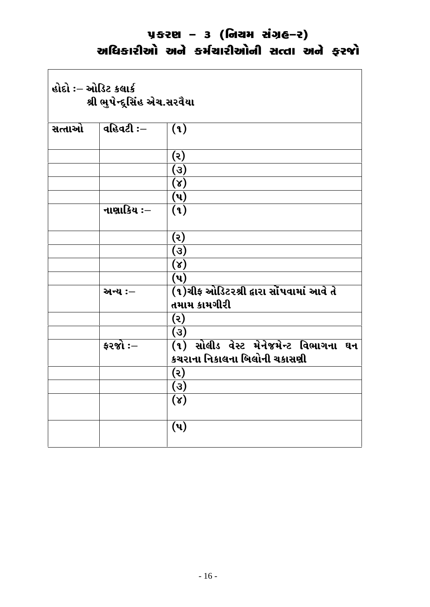$\overline{\phantom{a}}$ 

| હોદો :– ઓડિટ કલાર્ક<br>શ્રી ભુપેન્દ્રસિંહ એચ.સરવૈયા |                       |                                                                       |
|-----------------------------------------------------|-----------------------|-----------------------------------------------------------------------|
| સત્તાઓ                                              | વહિવટી $:-$           | (1)                                                                   |
|                                                     |                       | (૨)                                                                   |
|                                                     |                       | (૩)                                                                   |
|                                                     |                       | $(\lambda)$                                                           |
|                                                     |                       | $(\mathsf{u})$                                                        |
|                                                     | નાણાકિય ઃ–            | (9)                                                                   |
|                                                     |                       | (ર)                                                                   |
|                                                     |                       | (3)                                                                   |
|                                                     |                       | $(\lambda)$                                                           |
|                                                     |                       | $(\mathbf{u})$                                                        |
|                                                     | અન્ય :-               | (૧)ચીફ ઓડિટરશ્રી દ્વારા સોંપવામાં આવે તે<br>તમામ કામગીરી              |
|                                                     |                       | (ર)                                                                   |
|                                                     |                       | (3)                                                                   |
|                                                     | $\frac{1}{2}$ કરજો :— | (૧) સોલીડ વેસ્ટ મેનેજમેન્ટ વિભાગના ઘન<br>કચરાના નિકાલના બિલોની ચકાસણી |
|                                                     |                       | (૨)                                                                   |
|                                                     |                       | (3)                                                                   |
|                                                     |                       | (x)                                                                   |
|                                                     |                       | $(\mathbf{u})$                                                        |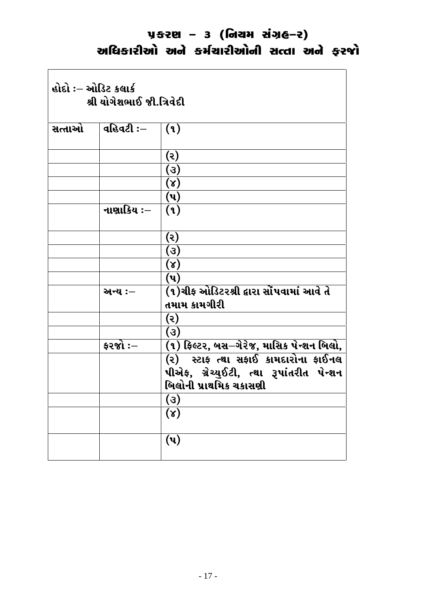| હોદો :– ઓડિટ કલાર્ક<br>શ્રી યોગેશભાઈ જી.ત્રિવેદી |                 |                                                                                                           |
|--------------------------------------------------|-----------------|-----------------------------------------------------------------------------------------------------------|
| સત્તાઓ                                           | વહિવટી ઃ–       | (9)                                                                                                       |
|                                                  |                 | (૨)                                                                                                       |
|                                                  |                 | (3)                                                                                                       |
|                                                  |                 | $(\lambda)$                                                                                               |
|                                                  |                 | $(\mathbf{u})$                                                                                            |
|                                                  | નાણાકિય ઃ–      | (9)                                                                                                       |
|                                                  |                 | (૨)                                                                                                       |
|                                                  |                 | (3)                                                                                                       |
|                                                  |                 | $(\lambda)$                                                                                               |
|                                                  |                 | $(\mathbf{u})$                                                                                            |
|                                                  | અન્ય :–         | (૧)ચીફ ઓડિટરશ્રી દ્વારા સોંપવામાં આવે તે<br>તમામ કામગીરી                                                  |
|                                                  |                 | (૨)                                                                                                       |
|                                                  |                 | (3)                                                                                                       |
|                                                  | <b>ફરજો :</b> – | (૧) ફિલ્ટર, બસ–ગેરેજ, માસિક પેન્શન બિલો,                                                                  |
|                                                  |                 | (૨) સ્ટાફ ત્થા સફાઈ કામદારોના ફાઈનલ<br>પીએફ, ગ્રેચ્યુઈટી, ત્થા રૂપાંતરીત પેન્શન<br>બિલોની પ્રાથમિક ચકાસણી |
|                                                  |                 | (3)                                                                                                       |
|                                                  |                 | $(\lambda)$                                                                                               |
|                                                  |                 | $(\mathbf{u})$                                                                                            |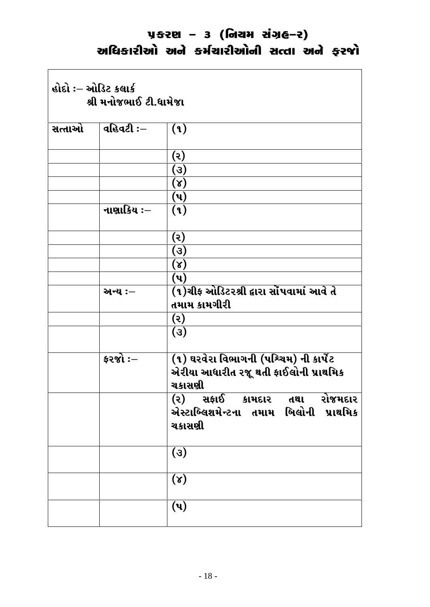$\Gamma$ 

| હોદો :– ઓડિટ કલાર્ક<br>શ્રી મનોજભાઈ ટી.ધામેજા |                       |                                                                                                |
|-----------------------------------------------|-----------------------|------------------------------------------------------------------------------------------------|
| સત્તાઓ                                        | વહિવટી ઃ $-$          | (9)                                                                                            |
|                                               |                       | (૨)                                                                                            |
|                                               |                       | (3)                                                                                            |
|                                               |                       | $(\lambda)$                                                                                    |
|                                               |                       | (પ)                                                                                            |
|                                               | નાણાકિય :–            | (9)                                                                                            |
|                                               |                       | (૨)                                                                                            |
|                                               |                       | (3)                                                                                            |
|                                               |                       | $(\lambda)$                                                                                    |
|                                               |                       | (પ)                                                                                            |
|                                               | અન્ય :–               | (૧)ચીફ ઓડિટરશ્રી દ્વારા સોંપવામાં આવે તે<br>તમામ કામગીરી                                       |
|                                               |                       | (૨)                                                                                            |
|                                               |                       | (3)                                                                                            |
|                                               | $\frac{1}{2}$ કરજો :— | (૧) ઘરવેરા વિભાગની (પશ્ચિમ) ની કાર્પેટ<br>એરીયા આધારીત રજૂ થતી ફાઈલોની પ્રાથમિક<br>ચકાસણી      |
|                                               |                       | રોજમદાર<br>(૨) સફાઈ<br>કામદાર<br>તથા<br>બિલોની<br>એસ્ટાબ્લિશમેન્ટના તમામ<br>પ્રાથમિક<br>ચકાસણી |
|                                               |                       | (3)                                                                                            |
|                                               |                       | $(\lambda)$                                                                                    |
|                                               |                       | $(\mathbf{u})$                                                                                 |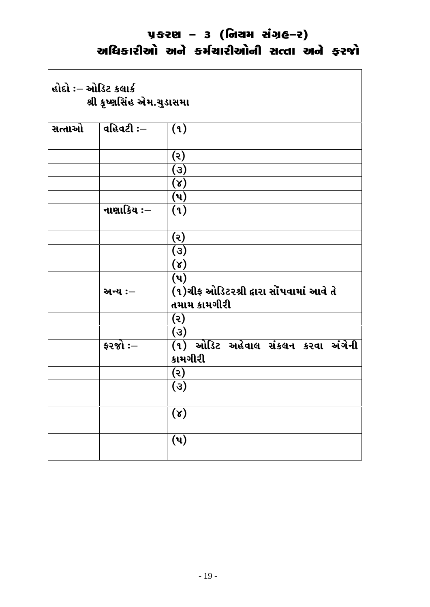$\Gamma$ 

| હોદો :– ઓડિટ કલાર્ક<br>શ્રી કૃષ્ણસિંહ એમ.ચુડાસમા |                       |                                                          |
|--------------------------------------------------|-----------------------|----------------------------------------------------------|
| સત્તાઓ                                           | વહિવટી ઃ $-$          | (9)                                                      |
|                                                  |                       | (૨)                                                      |
|                                                  |                       | (3)                                                      |
|                                                  |                       | $(\lambda)$                                              |
|                                                  |                       | $(\mathsf{u})$                                           |
|                                                  | નાણાકિય ઃ–            | (9)                                                      |
|                                                  |                       | (૨)                                                      |
|                                                  |                       | (3)                                                      |
|                                                  |                       | $(\lambda)$                                              |
|                                                  |                       | $(\mathbf{u})$                                           |
|                                                  | અન્ય :-               | (૧)ચીફ ઓડિટરશ્રી દ્વારા સોંપવામાં આવે તે<br>તમામ કામગીરી |
|                                                  |                       | (5)                                                      |
|                                                  |                       | (3)                                                      |
|                                                  | $\frac{1}{2}$ કરજો :– | (૧) ઓડિટ અહેવાલ સંકલન કરવા અંગેની<br>કામગીરી             |
|                                                  |                       | (૨)                                                      |
|                                                  |                       | $\left( 3\right)$                                        |
|                                                  |                       | $(\lambda)$                                              |
|                                                  |                       | $\overline{(\mathbf{u})}$                                |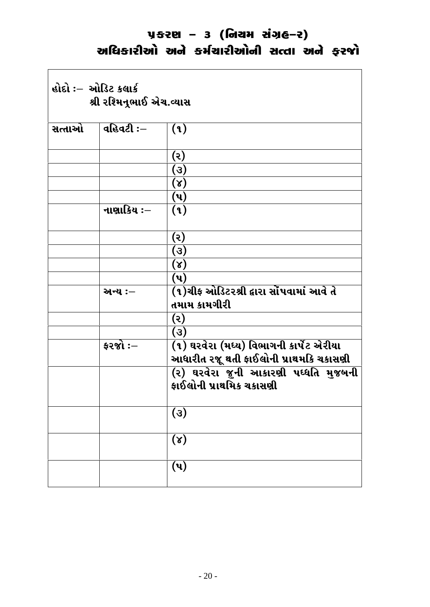$\Gamma$ 

| હોદો ઃ– ઓડિટ કલાર્ક<br>શ્રી રશ્મિનૂભાઈ એચ.વ્યાસ |                       |                                                                 |
|-------------------------------------------------|-----------------------|-----------------------------------------------------------------|
| સત્તાઓ                                          | વહિવટી $:$ $-$        | (9)                                                             |
|                                                 |                       | (૨)                                                             |
|                                                 |                       | (3)                                                             |
|                                                 |                       | $(\lambda)$                                                     |
|                                                 |                       | (પ)                                                             |
|                                                 | નાણાકિય ઃ–            | (9)                                                             |
|                                                 |                       | (૨)                                                             |
|                                                 |                       | (3)                                                             |
|                                                 |                       | $(\lambda)$                                                     |
|                                                 |                       | $(\mathbf{u})$                                                  |
|                                                 | અન્ય :–               | (૧)ચીફ ઓડિટરશ્રી દ્વારા સોંપવામાં આવે તે                        |
|                                                 |                       | તમામ કામગીરી                                                    |
|                                                 |                       | (૨)                                                             |
|                                                 | $\frac{1}{2}$ કરજો :— | (3)<br>(૧) ઘરવેરા (મધ્ય) વિભાગની કાર્પેટ એરીયા                  |
|                                                 |                       | આધારીત રજૂ થતી ફાઈલોની પ્રાથમકિ ચકાસણી                          |
|                                                 |                       | (૨) ઘરવેરા જુની આકારણી પઘ્ધતિ મુજબની<br>કાઈલોની પ્રાથમિક ચકાસણી |
|                                                 |                       | (3)                                                             |
|                                                 |                       | $(\lambda)$                                                     |
|                                                 |                       | $(\mathbf{u})$                                                  |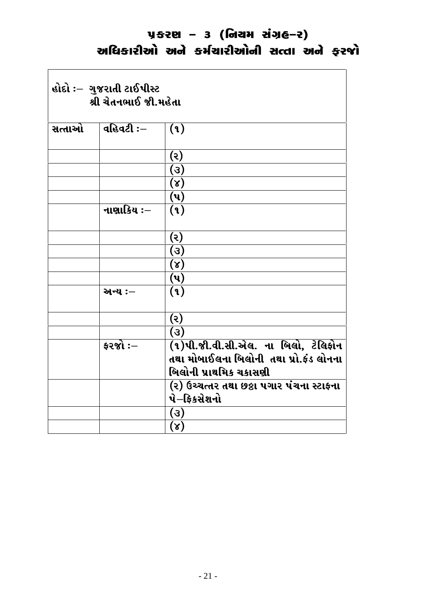$\overline{\mathbf{I}}$ 

| હોદો :– ગુજરાતી ટાઈપીસ્ટ<br>શ્રી ચેતનભાઈ જી.મહેતા |            |                                                                               |
|---------------------------------------------------|------------|-------------------------------------------------------------------------------|
| સત્તાઓ                                            | વહિવટી ઃ–  | (9)                                                                           |
|                                                   |            | (5)                                                                           |
|                                                   |            | (3)                                                                           |
|                                                   |            | (x)                                                                           |
|                                                   |            | $(\mathbf{u})$                                                                |
|                                                   | નાણાકિય ઃ– | (9)                                                                           |
|                                                   |            | $(\mathcal{S})$                                                               |
|                                                   |            | (3)                                                                           |
|                                                   |            | $\overline{(\lambda)}$                                                        |
|                                                   |            | $(\mathbf{u})$                                                                |
|                                                   | અન્ય :–    | (9)                                                                           |
|                                                   |            | (5)                                                                           |
|                                                   |            | (3)                                                                           |
|                                                   | કરજો :–    | (૧)પી.જી.વી.સી.એલ. ના બિલો, ટેલિફોન<br>તથા મોબાઈલના બિલોની તથા પ્રો.ફંડ લોનના |
|                                                   |            | બિલોની પ્રાથમિક ચકાસણી                                                        |
|                                                   |            | (૨) ઉચ્ચત્તર તથા છઠ્ઠા પગાર પંચના સ્ટાફના                                     |
|                                                   |            | પે–ફિકસેશનો                                                                   |
|                                                   |            | (3)                                                                           |
|                                                   |            | $(\lambda)$                                                                   |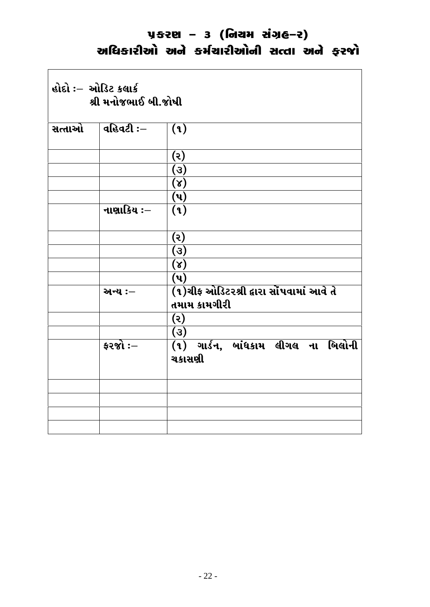$\overline{\mathsf{L}}$ 

|        | શ્રી મનોજભાઈ બી.જોષી |                                                          |
|--------|----------------------|----------------------------------------------------------|
| સત્તાઓ | $ $ વહિવટી ઃ $-$     | (9)                                                      |
|        |                      | (5)                                                      |
|        |                      | (3)                                                      |
|        |                      | $(\lambda)$                                              |
|        |                      | $(\mathbf{u})$                                           |
|        | નાણાકિય ઃ–           | (9)                                                      |
|        |                      | (5)                                                      |
|        |                      | (3)                                                      |
|        |                      | $(\lambda)$                                              |
|        |                      | (4)                                                      |
|        | અન્ય :—              | (૧)ચીફ ઓડિટરશ્રી દ્વારા સોંપવામાં આવે તે<br>તમામ કામગીરી |
|        |                      | (5)                                                      |
|        |                      | (3)                                                      |
|        | ફરજો $:$ –           | $(1)$ ગાર્ડન, બાંધકામ લીગલ ના બિલોની<br>ચકાસણી           |
|        |                      |                                                          |
|        |                      |                                                          |
|        |                      |                                                          |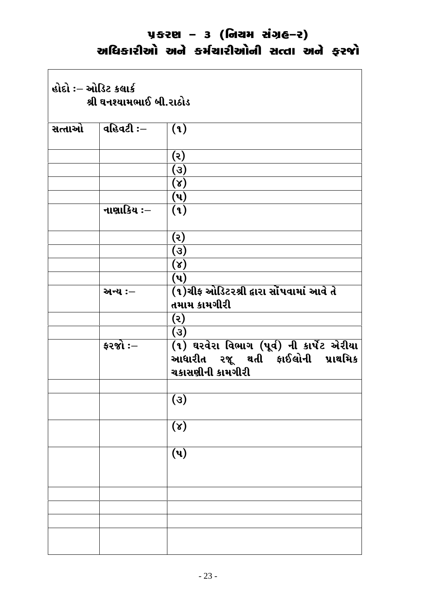#### <u> ਪੁਲਟਾ – 3 (ਗਿਟਬ ਬਾਂਹਵਿ-ਟ)</u> અધિકારીઓ અને કર્મચારીઓની સત્તા અને ફરજો

 $\Gamma$ 

| હોદો :– ઓડિટ કલાર્ક<br>શ્રી ઘનશ્યામભાઈ બી.રાઠોડ |                         |                                                                                                  |
|-------------------------------------------------|-------------------------|--------------------------------------------------------------------------------------------------|
|                                                 | સત્તાઓ $ $ વહિવટી ઃ $-$ | (9)                                                                                              |
|                                                 |                         | (૨)                                                                                              |
|                                                 |                         | (3)                                                                                              |
|                                                 |                         | $(\lambda)$                                                                                      |
|                                                 |                         | $(\mathbf{u})$                                                                                   |
|                                                 | નાણાકિય ઃ–              | (9)                                                                                              |
|                                                 |                         | (૨)                                                                                              |
|                                                 |                         | (3)                                                                                              |
|                                                 |                         | $(\lambda)$                                                                                      |
|                                                 |                         | $(\mathbf{u})$                                                                                   |
|                                                 | અન્ય :-                 | (૧)ચીફ ઓડિટરશ્રી દ્વારા સોંપવામાં આવે તે<br>તમામ કામગીરી                                         |
|                                                 |                         | (5)                                                                                              |
|                                                 |                         | (3)                                                                                              |
|                                                 | $\frac{1}{2}$ કરજો :—   | (१) घरवेरा विलाग (पूर्व) नी डार्पेट એरीया<br>આધારીત રજૂ થતી ફાઈલોની પ્રાથમિક<br>ચકાસણીની કામગીરી |
|                                                 |                         |                                                                                                  |
|                                                 |                         | $\overline{(\mathcal{S})}$                                                                       |
|                                                 |                         | $(\lambda)$                                                                                      |
|                                                 |                         | $\overline{(\mathbf{u})}$                                                                        |
|                                                 |                         |                                                                                                  |
|                                                 |                         |                                                                                                  |
|                                                 |                         |                                                                                                  |
|                                                 |                         |                                                                                                  |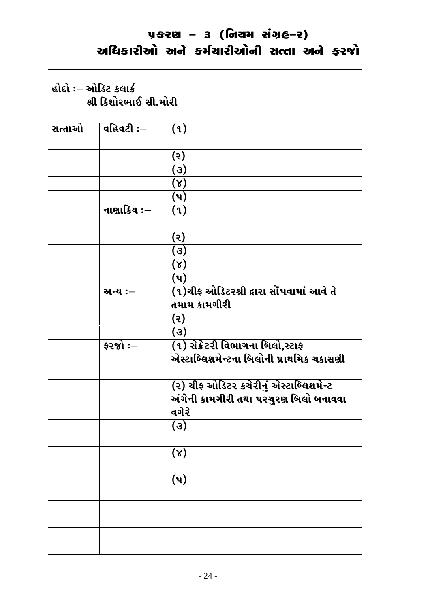# <u> ਪੁਲਟਾ – 3 (ਗਿਟਬ ਬਾਂਹਵਿ-ਟ)</u> અધિકારીઓ અને કર્મચારીઓની સત્તા અને ફરજો

 $\overline{\mathsf{I}}$ 

| હોદો :– ઓડિટ કલાર્ક<br>શ્રી કિશોરભાઈ સી.મોરી |                |                                                                                          |
|----------------------------------------------|----------------|------------------------------------------------------------------------------------------|
| સત્તાઓ                                       | વહિવટી $:$ $-$ | (9)                                                                                      |
|                                              |                | (૨)                                                                                      |
|                                              |                | (3)                                                                                      |
|                                              |                | $(\lambda)$                                                                              |
|                                              |                | (પ)                                                                                      |
|                                              | નાણાકિય ઃ–     | (9)                                                                                      |
|                                              |                | (૨)                                                                                      |
|                                              |                | (3)                                                                                      |
|                                              |                | $(\lambda)$                                                                              |
|                                              |                | (પ)                                                                                      |
|                                              | અન્ય :-        | (૧)ચીફ ઓડિટરશ્રી દ્વારા સોંપવામાં આવે તે<br>તમામ કામગીરી                                 |
|                                              |                | (૨)                                                                                      |
|                                              |                | (3)                                                                                      |
|                                              | ફરજો $:-$      | (૧) સેક્રેટરી વિભાગના બિલો,સ્ટાફ                                                         |
|                                              |                | એસ્ટાબ્લિશમેન્ટના બિલોની પ્રાથમિક ચકાસણી                                                 |
|                                              |                | (૨) ચીફ ઓડિટર કચેરીનું એસ્ટાબ્લિશમેન્ટ<br>અંગેની કામગીરી તથા પરચુરણ બિલો બનાવવા<br>વગેરે |
|                                              |                | (3)                                                                                      |
|                                              |                | $(\lambda)$                                                                              |
|                                              |                | $(\mathbf{u})$                                                                           |
|                                              |                |                                                                                          |
|                                              |                |                                                                                          |
|                                              |                |                                                                                          |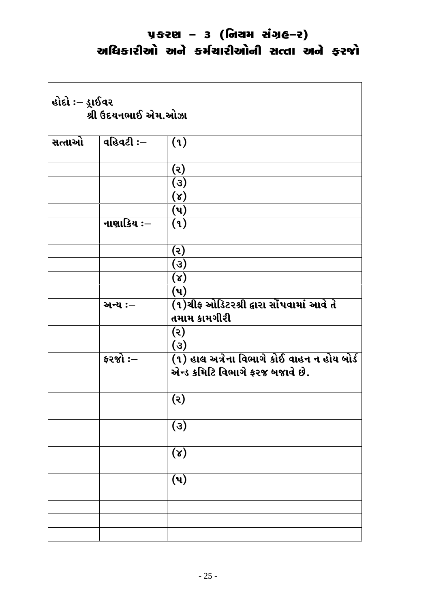| હોદો :– ડ્રાઈવર<br>શ્રી ઉદયનભાઈ એમ.ઓઝા |                       |                                                                                |  |  |
|----------------------------------------|-----------------------|--------------------------------------------------------------------------------|--|--|
| સત્તાઓ                                 | વહિવટી :–             | (9)                                                                            |  |  |
|                                        |                       | (૨)                                                                            |  |  |
|                                        |                       | (3)                                                                            |  |  |
|                                        |                       | $(\lambda)$                                                                    |  |  |
|                                        |                       | $(\mathsf{u})$                                                                 |  |  |
|                                        | નાણાકિય ઃ–            | (9)                                                                            |  |  |
|                                        |                       | (૨)                                                                            |  |  |
|                                        |                       | (3)                                                                            |  |  |
|                                        |                       | $(\lambda)$                                                                    |  |  |
|                                        |                       | $(\mathbf{u})$                                                                 |  |  |
|                                        | અન્ય :–               | (૧)ચીફ ઓડિટરશ્રી દ્વારા સોંપવામાં આવે તે<br>તમામ કામગીરી                       |  |  |
|                                        |                       | (ર)                                                                            |  |  |
|                                        |                       | (3)                                                                            |  |  |
|                                        | $\frac{1}{2}$ કરજો :– | (૧) હાલ અત્રેના વિભાગે કોઈ વાહન ન હોય બોર્ડ<br>એન્ડ કમિટિ વિભાગે ફરજ બજાવે છે. |  |  |
|                                        |                       | (૨)                                                                            |  |  |
|                                        |                       | (3)                                                                            |  |  |
|                                        |                       | $(\lambda)$                                                                    |  |  |
|                                        |                       | $(\mathbf{u})$                                                                 |  |  |
|                                        |                       |                                                                                |  |  |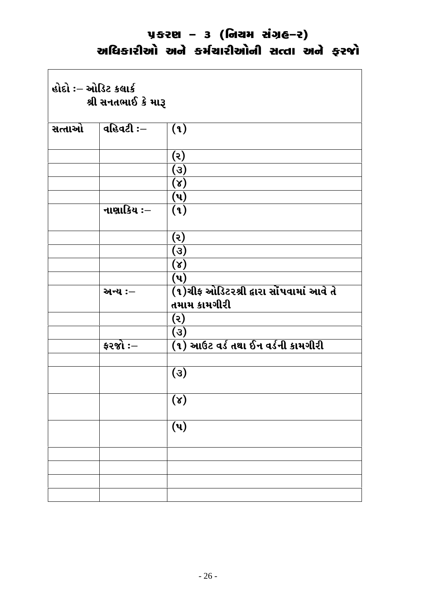$\overline{\phantom{a}}$ 

| હોદો :– ઓડિટ કલાર્ક<br>શ્રી સનતભાઈ કે મારૂ |                       |                                                          |  |  |
|--------------------------------------------|-----------------------|----------------------------------------------------------|--|--|
| સત્તાઓ                                     | વહિવટી $:=$           | (3)                                                      |  |  |
|                                            |                       | (૨)                                                      |  |  |
|                                            |                       | (3)                                                      |  |  |
|                                            |                       | $(\lambda)$                                              |  |  |
|                                            |                       | $(\mathbf{u})$                                           |  |  |
|                                            | નાણાકિય ઃ–            | (9)                                                      |  |  |
|                                            |                       | (૨)                                                      |  |  |
|                                            |                       | (3)                                                      |  |  |
|                                            |                       | $(\lambda)$                                              |  |  |
|                                            |                       | $(\mathbf{u})$                                           |  |  |
|                                            | અન્ય :-               | (૧)ચીફ ઓડિટરશ્રી દ્વારા સોંપવામાં આવે તે<br>તમામ કામગીરી |  |  |
|                                            |                       | (૨)                                                      |  |  |
|                                            |                       | (3)                                                      |  |  |
|                                            | $\frac{1}{2}$ કરજો :– | (૧) આઉટ વર્ડ તથા ઈન વર્ડની કામગીરી                       |  |  |
|                                            |                       | (3)                                                      |  |  |
|                                            |                       | $\overline{(\lambda)}$                                   |  |  |
|                                            |                       | $(\mathbf{u})$                                           |  |  |
|                                            |                       |                                                          |  |  |
|                                            |                       |                                                          |  |  |
|                                            |                       |                                                          |  |  |
|                                            |                       |                                                          |  |  |